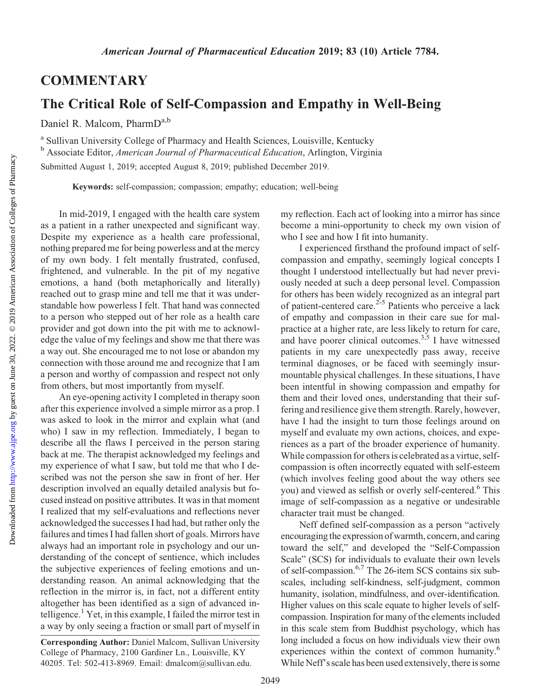## **COMMENTARY**

## The Critical Role of Self-Compassion and Empathy in Well-Being

Daniel R. Malcom, PharmD<sup>a,b</sup>

<sup>a</sup> Sullivan University College of Pharmacy and Health Sciences, Louisville, Kentucky <sup>b</sup> Associate Editor, American Journal of Pharmaceutical Education, Arlington, Virginia

Submitted August 1, 2019; accepted August 8, 2019; published December 2019.

Keywords: self-compassion; compassion; empathy; education; well-being

In mid-2019, I engaged with the health care system as a patient in a rather unexpected and significant way. Despite my experience as a health care professional, nothing prepared me for being powerless and at the mercy of my own body. I felt mentally frustrated, confused, frightened, and vulnerable. In the pit of my negative emotions, a hand (both metaphorically and literally) reached out to grasp mine and tell me that it was understandable how powerless I felt. That hand was connected to a person who stepped out of her role as a health care provider and got down into the pit with me to acknowledge the value of my feelings and show me that there was a way out. She encouraged me to not lose or abandon my connection with those around me and recognize that I am a person and worthy of compassion and respect not only from others, but most importantly from myself.

An eye-opening activity I completed in therapy soon after this experience involved a simple mirror as a prop. I was asked to look in the mirror and explain what (and who) I saw in my reflection. Immediately, I began to describe all the flaws I perceived in the person staring back at me. The therapist acknowledged my feelings and my experience of what I saw, but told me that who I described was not the person she saw in front of her. Her description involved an equally detailed analysis but focused instead on positive attributes. It was in that moment I realized that my self-evaluations and reflections never acknowledged the successes I had had, but rather only the failures and times I had fallen short of goals. Mirrors have always had an important role in psychology and our understanding of the concept of sentience, which includes the subjective experiences of feeling emotions and understanding reason. An animal acknowledging that the reflection in the mirror is, in fact, not a different entity altogether has been identified as a sign of advanced intelligence.<sup>1</sup> Yet, in this example, I failed the mirror test in a way by only seeing a fraction or small part of myself in my reflection. Each act of looking into a mirror has since become a mini-opportunity to check my own vision of who I see and how I fit into humanity.

I experienced firsthand the profound impact of selfcompassion and empathy, seemingly logical concepts I thought I understood intellectually but had never previously needed at such a deep personal level. Compassion for others has been widely recognized as an integral part of patient-centered care.<sup>2-5</sup> Patients who perceive a lack of empathy and compassion in their care sue for malpractice at a higher rate, are less likely to return for care, and have poorer clinical outcomes.<sup>3,5</sup> I have witnessed patients in my care unexpectedly pass away, receive terminal diagnoses, or be faced with seemingly insurmountable physical challenges. In these situations, I have been intentful in showing compassion and empathy for them and their loved ones, understanding that their suffering and resilience give them strength. Rarely, however, have I had the insight to turn those feelings around on myself and evaluate my own actions, choices, and experiences as a part of the broader experience of humanity. While compassion for others is celebrated as a virtue, selfcompassion is often incorrectly equated with self-esteem (which involves feeling good about the way others see you) and viewed as selfish or overly self-centered.<sup>6</sup> This image of self-compassion as a negative or undesirable character trait must be changed.

Neff defined self-compassion as a person "actively encouraging the expression of warmth, concern, and caring toward the self," and developed the "Self-Compassion Scale" (SCS) for individuals to evaluate their own levels of self-compassion.6,7 The 26-item SCS contains six subscales, including self-kindness, self-judgment, common humanity, isolation, mindfulness, and over-identification. Higher values on this scale equate to higher levels of selfcompassion. Inspiration for many of the elements included in this scale stem from Buddhist psychology, which has long included a focus on how individuals view their own experiences within the context of common humanity.<sup>6</sup> While Neff's scale has been used extensively, there is some

Corresponding Author: Daniel Malcom, Sullivan University College of Pharmacy, 2100 Gardiner Ln., Louisville, KY 40205. Tel: 502-413-8969. Email: [dmalcom@sullivan.edu.](mailto:dmalcom@sullivan.edu)